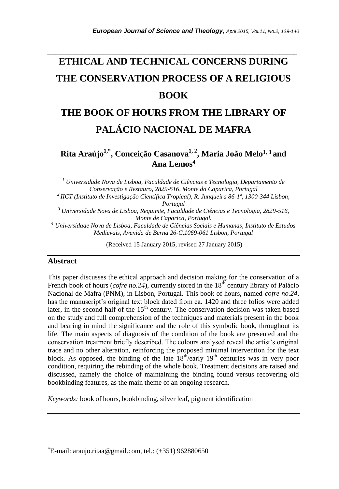# **ETHICAL AND TECHNICAL CONCERNS DURING THE CONSERVATION PROCESS OF A RELIGIOUS BOOK**

*\_\_\_\_\_\_\_\_\_\_\_\_\_\_\_\_\_\_\_\_\_\_\_\_\_\_\_\_\_\_\_\_\_\_\_\_\_\_\_\_\_\_\_\_\_\_\_\_\_\_\_\_\_\_\_\_\_\_\_\_\_\_\_\_\_\_\_\_\_\_\_*

# **THE BOOK OF HOURS FROM THE LIBRARY OF PALÁCIO NACIONAL DE MAFRA**

**Rita Araújo1,\* , Conceição Casanova1, 2 , Maria João Melo1, <sup>3</sup> and Ana Lemos<sup>4</sup>**

*<sup>1</sup> Universidade Nova de Lisboa, Faculdade de Ciências e Tecnologia, Departamento de Conservação e Restauro, 2829-516, Monte da Caparica, Portugal <sup>2</sup>IICT (Instituto de Investigação Científica Tropical), R. Junqueira 86-1º, 1300-344 Lisbon, Portugal <sup>3</sup> Universidade Nova de Lisboa, Requimte, Faculdade de Ciências e Tecnologia, 2829-516, Monte de Caparica, Portugal. <sup>4</sup> Universidade Nova de Lisboa, Faculdade de Ciências Sociais e Humanas, Instituto de Estudos Medievais, Avenida de Berna 26-C,1069-061 Lisbon, Portugal*

(Received 15 January 2015, revised 27 January 2015)

#### **Abstract**

l

This paper discusses the ethical approach and decision making for the conservation of a French book of hours (*cofre no.24*), currently stored in the 18<sup>th</sup> century library of Palácio Nacional de Mafra (PNM), in Lisbon, Portugal. This book of hours, named *cofre no.24*, has the manuscript's original text block dated from ca. 1420 and three folios were added later, in the second half of the  $15<sup>th</sup>$  century. The conservation decision was taken based on the study and full comprehension of the techniques and materials present in the book and bearing in mind the significance and the role of this symbolic book, throughout its life. The main aspects of diagnosis of the condition of the book are presented and the conservation treatment briefly described. The colours analysed reveal the artist's original trace and no other alteration, reinforcing the proposed minimal intervention for the text block. As opposed, the binding of the late  $18<sup>th</sup>/early 19<sup>th</sup>$  centuries was in very poor condition, requiring the rebinding of the whole book. Treatment decisions are raised and discussed, namely the choice of maintaining the binding found versus recovering old bookbinding features, as the main theme of an ongoing research.

*Keywords:* book of hours, bookbinding, silver leaf, pigment identification

 $E$ -mail: [araujo.ritaa@gmail.com,](mailto:%2Aaraujo.ritaa@gmail.com) tel.:  $(+351)$  962880650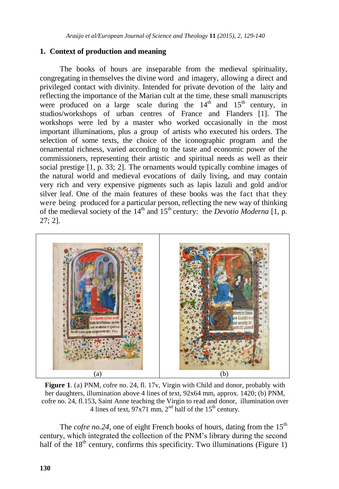# **1. Context of production and meaning**

The books of hours are inseparable from the medieval spirituality, congregating in themselves the divine word and imagery, allowing a direct and privileged contact with divinity. Intended for private devotion of the laity and reflecting the importance of the Marian cult at the time, these small manuscripts were produced on a large scale during the  $14<sup>th</sup>$  and  $15<sup>th</sup>$  century, in studios/workshops of urban centres of France and Flanders [1]. The workshops were led by a master who worked occasionally in the most important illuminations, plus a group of artists who executed his orders. The selection of some texts, the choice of the iconographic program and the ornamental richness, varied according to the taste and economic power of the commissioners, representing their artistic and spiritual needs as well as their social prestige [1, p. 33; 2]. The ornaments would typically combine images of the natural world and medieval evocations of daily living, and may contain very rich and very expensive pigments such as lapis lazuli and gold and/or silver leaf. One of the main features of these books was the fact that they were being produced for a particular person, reflecting the new way of thinking of the medieval society of the 14th and 15th century: the *Devotio Moderna* [1, p. 27; 2].



**Figure 1**. (a) PNM, cofre no. 24, fl. 17v, Virgin with Child and donor, probably with her daughters, illumination above 4 lines of text, 92x64 mm, approx. 1420; (b) PNM, cofre no. 24, fl.153, Saint Anne teaching the Virgin to read and donor, illumination over 4 lines of text,  $97x71$  mm,  $2<sup>nd</sup>$  half of the  $15<sup>th</sup>$  century.

The *cofre no.*24, one of eight French books of hours, dating from the  $15<sup>th</sup>$ century, which integrated the collection of the PNM's library during the second half of the  $18<sup>th</sup>$  century, confirms this specificity. Two illuminations (Figure 1)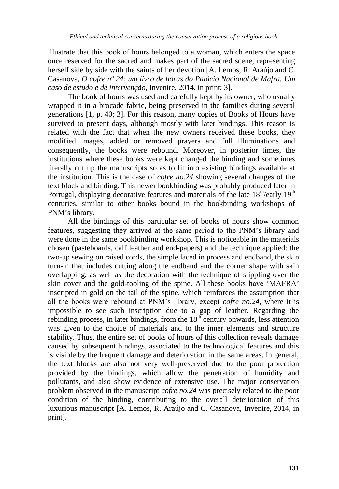illustrate that this book of hours belonged to a woman, which enters the space once reserved for the sacred and makes part of the sacred scene, representing herself side by side with the saints of her devotion [A. Lemos, R. Araújo and C. Casanova, *O cofre nº 24: um livro de horas do Palácio Nacional de Mafra. Um caso de estudo e de intervenção*, Invenire, 2014, in print; 3].

The book of hours was used and carefully kept by its owner, who usually wrapped it in a brocade fabric, being preserved in the families during several generations [1, p. 40; 3]. For this reason, many copies of Books of Hours have survived to present days, although mostly with later bindings. This reason is related with the fact that when the new owners received these books, they modified images, added or removed prayers and full illuminations and consequently, the books were rebound. Moreover, in posterior times, the institutions where these books were kept changed the binding and sometimes literally cut up the manuscripts so as to fit into existing bindings available at the institution. This is the case of *cofre no.24* showing several changes of the text block and binding. This newer bookbinding was probably produced later in Portugal, displaying decorative features and materials of the late  $18<sup>th</sup>/early 19<sup>th</sup>$ centuries, similar to other books bound in the bookbinding workshops of PNM's library.

All the bindings of this particular set of books of hours show common features, suggesting they arrived at the same period to the PNM's library and were done in the same bookbinding workshop. This is noticeable in the materials chosen (pasteboards, calf leather and end-papers) and the technique applied: the two-up sewing on raised cords, the simple laced in process and endband, the skin turn-in that includes cutting along the endband and the corner shape with skin overlapping, as well as the decoration with the technique of stippling over the skin cover and the gold-tooling of the spine. All these books have 'MAFRA' inscripted in gold on the tail of the spine, which reinforces the assumption that all the books were rebound at PNM's library, except *cofre no.24*, where it is impossible to see such inscription due to a gap of leather. Regarding the rebinding process, in later bindings, from the  $18<sup>th</sup>$  century onwards, less attention was given to the choice of materials and to the inner elements and structure stability. Thus, the entire set of books of hours of this collection reveals damage caused by subsequent bindings, associated to the technological features and this is visible by the frequent damage and deterioration in the same areas. In general, the text blocks are also not very well-preserved due to the poor protection provided by the bindings, which allow the penetration of humidity and pollutants, and also show evidence of extensive use. The major conservation problem observed in the manuscript *cofre no.24* was precisely related to the poor condition of the binding, contributing to the overall deterioration of this luxurious manuscript [A. Lemos, R. Araújo and C. Casanova, Invenire, 2014, in print].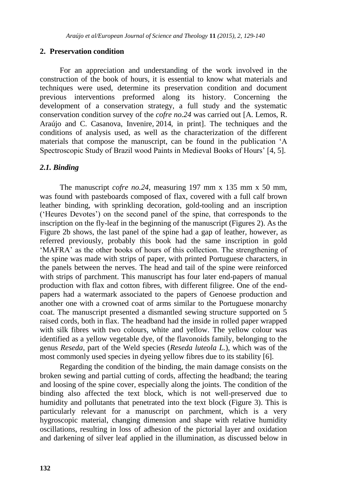#### **2. Preservation condition**

For an appreciation and understanding of the work involved in the construction of the book of hours, it is essential to know what materials and techniques were used, determine its preservation condition and document previous interventions preformed along its history. Concerning the development of a conservation strategy, a full study and the systematic conservation condition survey of the *cofre no.24* was carried out [A. Lemos, R. Araújo and C. Casanova, Invenire, 2014, in print]. The techniques and the conditions of analysis used, as well as the characterization of the different materials that compose the manuscript, can be found in the publication 'A Spectroscopic Study of Brazil wood Paints in Medieval Books of Hours' [4, 5].

#### *2.1. Binding*

The manuscript *cofre no.24*, measuring 197 mm x 135 mm x 50 mm, was found with pasteboards composed of flax, covered with a full calf brown leather binding, with sprinkling decoration, gold-tooling and an inscription ('Heures Devotes') on the second panel of the spine, that corresponds to the inscription on the fly-leaf in the beginning of the manuscript (Figures 2). As the Figure 2b shows, the last panel of the spine had a gap of leather, however, as referred previously, probably this book had the same inscription in gold 'MAFRA' as the other books of hours of this collection. The strengthening of the spine was made with strips of paper, with printed Portuguese characters, in the panels between the nerves. The head and tail of the spine were reinforced with strips of parchment. This manuscript has four later end-papers of manual production with flax and cotton fibres, with different filigree. One of the endpapers had a watermark associated to the papers of Genoese production and another one with a crowned coat of arms similar to the Portuguese monarchy coat. The manuscript presented a dismantled sewing structure supported on 5 raised cords, both in flax. The headband had the inside in rolled paper wrapped with silk fibres with two colours, white and yellow. The yellow colour was identified as a yellow vegetable dye, of the flavonoids family, belonging to the genus *Reseda*, part of the Weld species (*Reseda luteola L.*), which was of the most commonly used species in dyeing yellow fibres due to its stability [6].

Regarding the condition of the binding, the main damage consists on the broken sewing and partial cutting of cords, affecting the headband; the tearing and loosing of the spine cover, especially along the joints. The condition of the binding also affected the text block, which is not well-preserved due to humidity and pollutants that penetrated into the text block (Figure 3). This is particularly relevant for a manuscript on parchment, which is a very hygroscopic material, changing dimension and shape with relative humidity oscillations, resulting in loss of adhesion of the pictorial layer and oxidation and darkening of silver leaf applied in the illumination, as discussed below in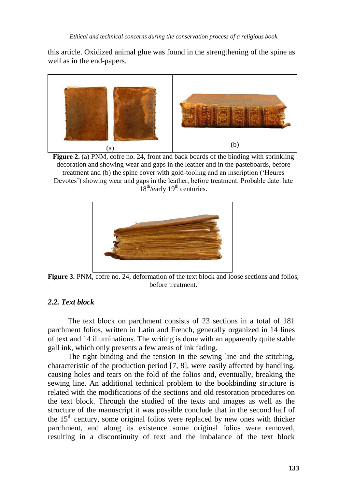this article. Oxidized animal glue was found in the strengthening of the spine as well as in the end-papers.



**Figure 2.** (a) PNM, cofre no. 24, front and back boards of the binding with sprinkling decoration and showing wear and gaps in the leather and in the pasteboards, before treatment and (b) the spine cover with gold-tooling and an inscription ('Heures Devotes') showing wear and gaps in the leather, before treatment. Probable date: late  $18<sup>th</sup>/early 19<sup>th</sup> centuries.$ 



**Figure 3.** PNM, cofre no. 24, deformation of the text block and loose sections and folios, before treatment.

## *2.2. Text block*

The text block on parchment consists of 23 sections in a total of 181 parchment folios, written in Latin and French, generally organized in 14 lines of text and 14 illuminations. The writing is done with an apparently quite stable gall ink, which only presents a few areas of ink fading.

The tight binding and the tension in the sewing line and the stitching, characteristic of the production period [7, 8], were easily affected by handling, causing holes and tears on the fold of the folios and, eventually, breaking the sewing line. An additional technical problem to the bookbinding structure is related with the modifications of the sections and old restoration procedures on the text block. Through the studied of the texts and images as well as the structure of the manuscript it was possible conclude that in the second half of the  $15<sup>th</sup>$  century, some original folios were replaced by new ones with thicker parchment, and along its existence some original folios were removed, resulting in a discontinuity of text and the imbalance of the text block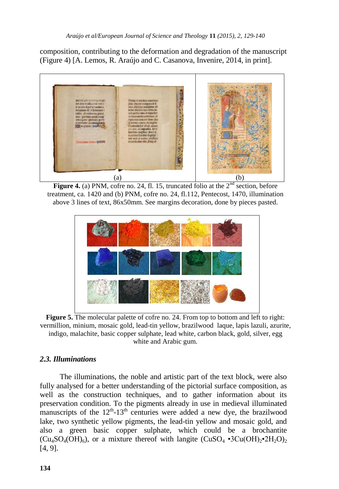composition, contributing to the deformation and degradation of the manuscript (Figure 4) [A. Lemos, R. Araújo and C. Casanova, Invenire, 2014, in print].



**Figure 4.** (a) PNM, cofre no. 24, fl. 15, truncated folio at the 2<sup>nd</sup> section, before treatment, ca. 1420 and (b) PNM, cofre no. 24, fl.112, Pentecost, 1470, illumination above 3 lines of text, 86x50mm. See margins decoration, done by pieces pasted.



**Figure 5.** The molecular palette of cofre no. 24. From top to bottom and left to right: vermillion, minium, mosaic gold, lead-tin yellow, brazilwood laque, lapis lazuli, azurite, indigo, malachite, basic copper sulphate, lead white, carbon black, gold, silver, egg white and Arabic gum.

# *2.3. Illuminations*

The illuminations, the noble and artistic part of the text block, were also fully analysed for a better understanding of the pictorial surface composition, as well as the construction techniques, and to gather information about its preservation condition. To the pigments already in use in medieval illuminated manuscripts of the  $12<sup>th</sup> - 13<sup>th</sup>$  centuries were added a new dye, the brazilwood lake, two synthetic yellow pigments, the lead-tin yellow and mosaic gold, and also a green basic copper sulphate, which could be a brochantite  $(Cu_4SO_4(OH)_6)$ , or a mixture thereof with langite  $(CuSO_4 \cdot 3Cu(OH)_2 \cdot 2H_2O)_2$ [4, 9].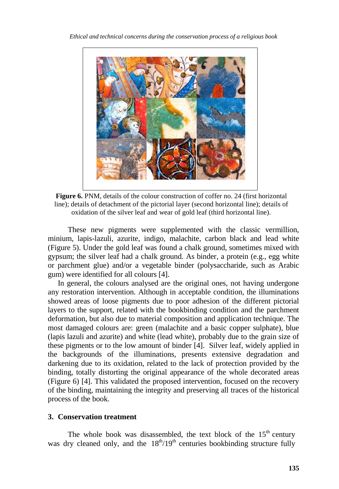

**Figure 6.** PNM, details of the colour construction of coffer no. 24 (first horizontal line); details of detachment of the pictorial layer (second horizontal line); details of oxidation of the silver leaf and wear of gold leaf (third horizontal line).

These new pigments were supplemented with the classic vermillion, minium, lapis-lazuli, azurite, indigo, malachite, carbon black and lead white (Figure 5). Under the gold leaf was found a chalk ground, sometimes mixed with gypsum; the silver leaf had a chalk ground. As binder, a protein (e.g., egg white or parchment glue) and/or a vegetable binder (polysaccharide, such as Arabic gum) were identified for all colours [4].

In general, the colours analysed are the original ones, not having undergone any restoration intervention. Although in acceptable condition, the illuminations showed areas of loose pigments due to poor adhesion of the different pictorial layers to the support, related with the bookbinding condition and the parchment deformation, but also due to material composition and application technique. The most damaged colours are: green (malachite and a basic copper sulphate), blue (lapis lazuli and azurite) and white (lead white), probably due to the grain size of these pigments or to the low amount of binder [4]. Silver leaf, widely applied in the backgrounds of the illuminations, presents extensive degradation and darkening due to its oxidation, related to the lack of protection provided by the binding, totally distorting the original appearance of the whole decorated areas (Figure 6) [4]. This validated the proposed intervention, focused on the recovery of the binding, maintaining the integrity and preserving all traces of the historical process of the book.

#### **3. Conservation treatment**

The whole book was disassembled, the text block of the  $15<sup>th</sup>$  century was dry cleaned only, and the  $18<sup>th</sup>/19<sup>th</sup>$  centuries bookbinding structure fully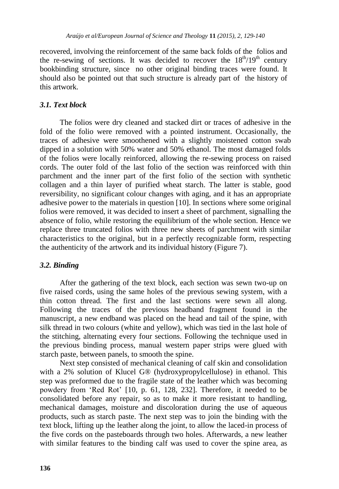recovered, involving the reinforcement of the same back folds of the folios and the re-sewing of sections. It was decided to recover the  $18^{th}/19^{th}$  century bookbinding structure, since no other original binding traces were found. It should also be pointed out that such structure is already part of the history of this artwork.

# *3.1. Text block*

The folios were dry cleaned and stacked dirt or traces of adhesive in the fold of the folio were removed with a pointed instrument. Occasionally, the traces of adhesive were smoothened with a slightly moistened cotton swab dipped in a solution with 50% water and 50% ethanol. The most damaged folds of the folios were locally reinforced, allowing the re-sewing process on raised cords. The outer fold of the last folio of the section was reinforced with thin parchment and the inner part of the first folio of the section with synthetic collagen and a thin layer of purified wheat starch. The latter is stable, good reversibility, no significant colour changes with aging, and it has an appropriate adhesive power to the materials in question [10]. In sections where some original folios were removed, it was decided to insert a sheet of parchment, signalling the absence of folio, while restoring the equilibrium of the whole section. Hence we replace three truncated folios with three new sheets of parchment with similar characteristics to the original, but in a perfectly recognizable form, respecting the authenticity of the artwork and its individual history (Figure 7).

# *3.2. Binding*

After the gathering of the text block, each section was sewn two-up on five raised cords, using the same holes of the previous sewing system, with a thin cotton thread. The first and the last sections were sewn all along. Following the traces of the previous headband fragment found in the manuscript, a new endband was placed on the head and tail of the spine, with silk thread in two colours (white and yellow), which was tied in the last hole of the stitching, alternating every four sections. Following the technique used in the previous binding process, manual western paper strips were glued with starch paste, between panels, to smooth the spine.

Next step consisted of mechanical cleaning of calf skin and consolidation with a 2% solution of Klucel G® (hydroxypropylcellulose) in ethanol. This step was preformed due to the fragile state of the leather which was becoming powdery from 'Red Rot' [10, p. 61, 128, 232]. Therefore, it needed to be consolidated before any repair, so as to make it more resistant to handling, mechanical damages, moisture and discoloration during the use of aqueous products, such as starch paste. The next step was to join the binding with the text block, lifting up the leather along the joint, to allow the laced-in process of the five cords on the pasteboards through two holes. Afterwards, a new leather with similar features to the binding calf was used to cover the spine area, as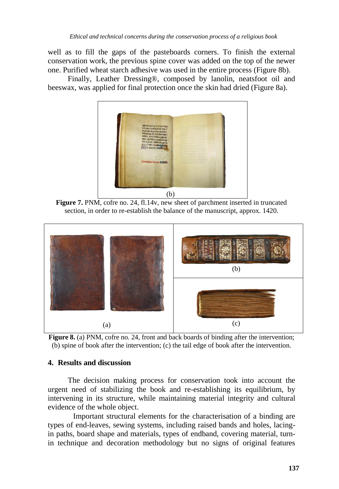well as to fill the gaps of the pasteboards corners. To finish the external conservation work, the previous spine cover was added on the top of the newer one. Purified wheat starch adhesive was used in the entire process (Figure 8b).

Finally, Leather Dressing®, composed by lanolin, neatsfoot oil and beeswax, was applied for final protection once the skin had dried (Figure 8a).



**Figure 7.** PNM, cofre no. 24, fl.14v, new sheet of parchment inserted in truncated section, in order to re-establish the balance of the manuscript, approx. 1420.



**Figure 8.** (a) PNM, cofre no. 24, front and back boards of binding after the intervention; (b) spine of book after the intervention; (c) the tail edge of book after the intervention.

#### **4. Results and discussion**

The decision making process for conservation took into account the urgent need of stabilizing the book and re-establishing its equilibrium, by intervening in its structure, while maintaining material integrity and cultural evidence of the whole object.

Important structural elements for the characterisation of a binding are types of end-leaves, sewing systems, including raised bands and holes, lacingin paths, board shape and materials, types of endband, covering material, turnin technique and decoration methodology but no signs of original features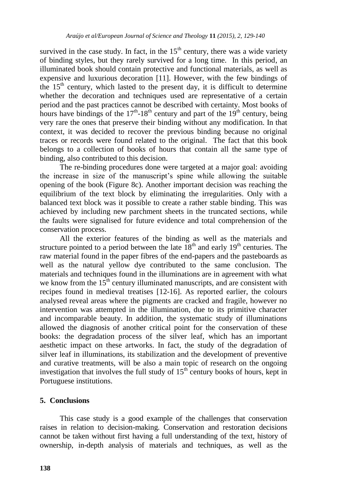survived in the case study. In fact, in the  $15<sup>th</sup>$  century, there was a wide variety of binding styles, but they rarely survived for a long time. In this period, an illuminated book should contain protective and functional materials, as well as expensive and luxurious decoration [11]. However, with the few bindings of the  $15<sup>th</sup>$  century, which lasted to the present day, it is difficult to determine whether the decoration and techniques used are representative of a certain period and the past practices cannot be described with certainty. Most books of hours have bindings of the  $17<sup>th</sup>$ -18<sup>th</sup> century and part of the  $19<sup>th</sup>$  century, being very rare the ones that preserve their binding without any modification. In that context, it was decided to recover the previous binding because no original traces or records were found related to the original. The fact that this book belongs to a collection of books of hours that contain all the same type of binding, also contributed to this decision.

The re-binding procedures done were targeted at a major goal: avoiding the increase in size of the manuscript's spine while allowing the suitable opening of the book (Figure 8c). Another important decision was reaching the equilibrium of the text block by eliminating the irregularities. Only with a balanced text block was it possible to create a rather stable binding. This was achieved by including new parchment sheets in the truncated sections, while the faults were signalised for future evidence and total comprehension of the conservation process.

All the exterior features of the binding as well as the materials and structure pointed to a period between the late  $18<sup>th</sup>$  and early  $19<sup>th</sup>$  centuries. The raw material found in the paper fibres of the end-papers and the pasteboards as well as the natural yellow dye contributed to the same conclusion. The materials and techniques found in the illuminations are in agreement with what we know from the  $15<sup>th</sup>$  century illuminated manuscripts, and are consistent with recipes found in medieval treatises [12-16]. As reported earlier, the colours analysed reveal areas where the pigments are cracked and fragile, however no intervention was attempted in the illumination, due to its primitive character and incomparable beauty. In addition, the systematic study of illuminations allowed the diagnosis of another critical point for the conservation of these books: the degradation process of the silver leaf, which has an important aesthetic impact on these artworks. In fact, the study of the degradation of silver leaf in illuminations, its stabilization and the development of preventive and curative treatments, will be also a main topic of research on the ongoing investigation that involves the full study of  $15<sup>th</sup>$  century books of hours, kept in Portuguese institutions.

## **5. Conclusions**

This case study is a good example of the challenges that conservation raises in relation to decision-making. Conservation and restoration decisions cannot be taken without first having a full understanding of the text, history of ownership, in-depth analysis of materials and techniques, as well as the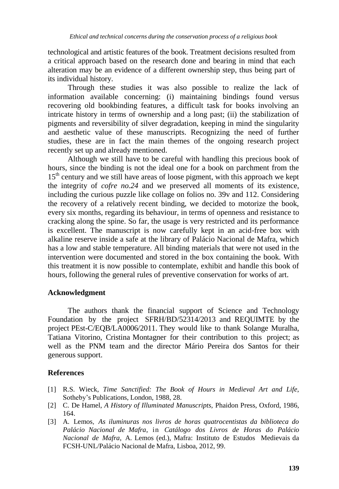technological and artistic features of the book. Treatment decisions resulted from a critical approach based on the research done and bearing in mind that each alteration may be an evidence of a different ownership step, thus being part of its individual history.

Through these studies it was also possible to realize the lack of information available concerning: (i) maintaining bindings found versus recovering old bookbinding features, a difficult task for books involving an intricate history in terms of ownership and a long past; (ii) the stabilization of pigments and reversibility of silver degradation, keeping in mind the singularity and aesthetic value of these manuscripts. Recognizing the need of further studies, these are in fact the main themes of the ongoing research project recently set up and already mentioned.

Although we still have to be careful with handling this precious book of hours, since the binding is not the ideal one for a book on parchment from the  $15<sup>th</sup>$  century and we still have areas of loose pigment, with this approach we kept the integrity of *cofre no.24* and we preserved all moments of its existence, including the curious puzzle like collage on folios no. 39v and 112. Considering the recovery of a relatively recent binding, we decided to motorize the book, every six months, regarding its behaviour, in terms of openness and resistance to cracking along the spine. So far, the usage is very restricted and its performance is excellent. The manuscript is now carefully kept in an acid-free box with alkaline reserve inside a safe at the library of Palácio Nacional de Mafra, which has a low and stable temperature. All binding materials that were not used in the intervention were documented and stored in the box containing the book. With this treatment it is now possible to contemplate, exhibit and handle this book of hours, following the general rules of preventive conservation for works of art.

#### **Acknowledgment**

The authors thank the financial support of Science and Technology Foundation by the project SFRH/BD/52314/2013 and REQUIMTE by the project PEst-C/EQB/LA0006/2011. They would like to thank Solange Muralha, Tatiana Vitorino, Cristina Montagner for their contribution to this project; as well as the PNM team and the director Mário Pereira dos Santos for their generous support.

#### **References**

- [1] R.S. Wieck, *Time Sanctified: The Book of Hours in Medieval Art and Life*, Sotheby's Publications, London, 1988, 28.
- [2] C. De Hamel, *A History of Illuminated Manuscripts,* Phaidon Press, Oxford, 1986, 164.
- [3] A. Lemos, *As iluminuras nos livros de horas quatrocentistas da biblioteca do Palácio Nacional de Mafra*, in *Catálogo dos Livros de Horas do Palácio Nacional de Mafra*, A. Lemos (ed.), Mafra: Instituto de Estudos Medievais da FCSH-UNL/Palácio Nacional de Mafra, Lisboa, 2012, 99.